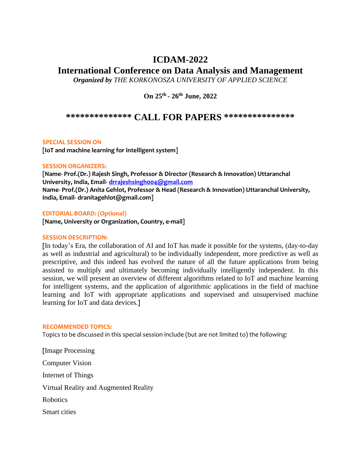## **ICDAM-2022**

# **International Conference on Data Analysis and Management**

*Organized by THE KORKONOSZA UNIVERSITY OF APPLIED SCIENCE* 

**On 25th - 26th June, 2022**

### **\*\*\*\*\*\*\*\*\*\*\*\*\*\* CALL FOR PAPERS \*\*\*\*\*\*\*\*\*\*\*\*\*\*\***

#### **SPECIAL SESSION ON**

**[IoT and machine learning for intelligent system]**

#### **SESSION ORGANIZERS:**

**[Name- Prof.(Dr.) Rajesh Singh, Professor & Director (Research & Innovation) Uttaranchal University, India, Email- [drrajeshsingh004@gmail.com](mailto:drrajeshsingh004@gmail.com) Name- Prof.(Dr.) Anita Gehlot, Professor & Head (Research & Innovation) Uttaranchal University, India, Email- dranitagehlot@gmail.com]**

#### **EDITORIAL BOARD: (Optional)**

**[Name, University or Organization, Country, e-mail]**

#### **SESSION DESCRIPTION:**

**[**In today's Era, the collaboration of AI and IoT has made it possible for the systems, (day-to-day as well as industrial and agricultural) to be individually independent, more predictive as well as prescriptive, and this indeed has evolved the nature of all the future applications from being assisted to multiply and ultimately becoming individually intelligently independent. In this session, we will present an overview of different algorithms related to IoT and machine learning for intelligent systems, and the application of algorithmic applications in the field of machine learning and IoT with appropriate applications and supervised and unsupervised machine learning for IoT and data devices.**]**

#### **RECOMMENDED TOPICS:**

Topics to be discussed in this special session include (but are not limited to) the following:

**[**Image Processing Computer Vision Internet of Things Virtual Reality and Augmented Reality Robotics Smart cities